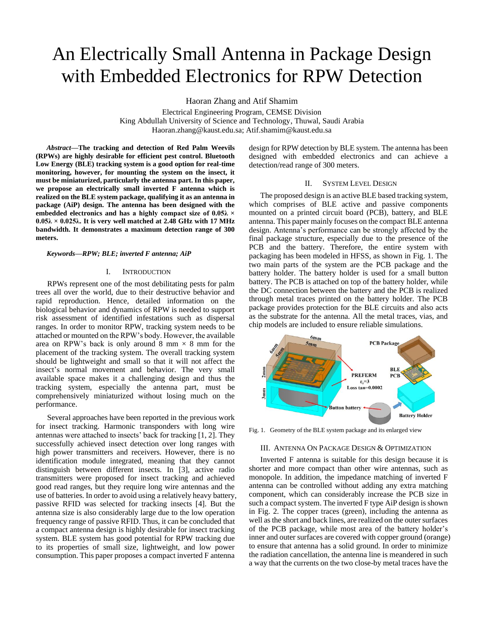# An Electrically Small Antenna in Package Design with Embedded Electronics for RPW Detection

Haoran Zhang and Atif Shamim

Electrical Engineering Program, CEMSE Division King Abdullah University of Science and Technology, Thuwal, Saudi Arabia Haoran.zhang@kaust.edu.sa; Atif.shamim@kaust.edu.sa

*Abstract***—The tracking and detection of Red Palm Weevils (RPWs) are highly desirable for efficient pest control. Bluetooth Low Energy (BLE) tracking system is a good option for real-time monitoring, however, for mounting the system on the insect, it must be miniaturized, particularly the antenna part. In this paper, we propose an electrically small inverted F antenna which is realized on the BLE system package, qualifying it as an antenna in package (AiP) design. The antenna has been designed with the embedded electronics and has a highly compact size of 0.05λ × 0.05λ × 0.025λ. It is very well matched at 2.48 GHz with 17 MHz bandwidth. It demonstrates a maximum detection range of 300 meters.**

#### *Keywords—RPW; BLE; inverted F antenna; AiP*

#### I. INTRODUCTION

RPWs represent one of the most debilitating pests for palm trees all over the world, due to their destructive behavior and rapid reproduction. Hence, detailed information on the biological behavior and dynamics of RPW is needed to support risk assessment of identified infestations such as dispersal ranges. In order to monitor RPW, tracking system needs to be attached or mounted on the RPW's body. However, the available area on RPW's back is only around 8 mm  $\times$  8 mm for the placement of the tracking system. The overall tracking system should be lightweight and small so that it will not affect the insect's normal movement and behavior. The very small available space makes it a challenging design and thus the tracking system, especially the antenna part, must be comprehensively miniaturized without losing much on the performance.

Several approaches have been reported in the previous work for insect tracking. Harmonic transponders with long wire antennas were attached to insects' back for tracking [1, 2]. They successfully achieved insect detection over long ranges with high power transmitters and receivers. However, there is no identification module integrated, meaning that they cannot distinguish between different insects. In [3], active radio transmitters were proposed for insect tracking and achieved good read ranges, but they require long wire antennas and the use of batteries. In order to avoid using a relatively heavy battery, passive RFID was selected for tracking insects [4]. But the antenna size is also considerably large due to the low operation frequency range of passive RFID. Thus, it can be concluded that a compact antenna design is highly desirable for insect tracking system. BLE system has good potential for RPW tracking due to its properties of small size, lightweight, and low power consumption. This paper proposes a compact inverted F antenna

design for RPW detection by BLE system. The antenna has been designed with embedded electronics and can achieve a detection/read range of 300 meters.

## II. SYSTEM LEVEL DESIGN

The proposed design is an active BLE based tracking system, which comprises of BLE active and passive components mounted on a printed circuit board (PCB), battery, and BLE antenna. This paper mainly focuses on the compact BLE antenna design. Antenna's performance can be strongly affected by the final package structure, especially due to the presence of the PCB and the battery. Therefore, the entire system with packaging has been modeled in HFSS, as shown in Fig. 1. The two main parts of the system are the PCB package and the battery holder. The battery holder is used for a small button battery. The PCB is attached on top of the battery holder, while the DC connection between the battery and the PCB is realized through metal traces printed on the battery holder. The PCB package provides protection for the BLE circuits and also acts as the substrate for the antenna. All the metal traces, vias, and chip models are included to ensure reliable simulations.



Fig. 1. Geometry of the BLE system package and its enlarged view

#### III. ANTENNA ON PACKAGE DESIGN & OPTIMIZATION

Inverted F antenna is suitable for this design because it is shorter and more compact than other wire antennas, such as monopole. In addition, the impedance matching of inverted F antenna can be controlled without adding any extra matching component, which can considerably increase the PCB size in such a compact system. The inverted F type AiP design is shown in Fig. 2. The copper traces (green), including the antenna as well as the short and back lines, are realized on the outer surfaces of the PCB package, while most area of the battery holder's inner and outer surfaces are covered with copper ground (orange) to ensure that antenna has a solid ground. In order to minimize the radiation cancellation, the antenna line is meandered in such a way that the currents on the two close-by metal traces have the